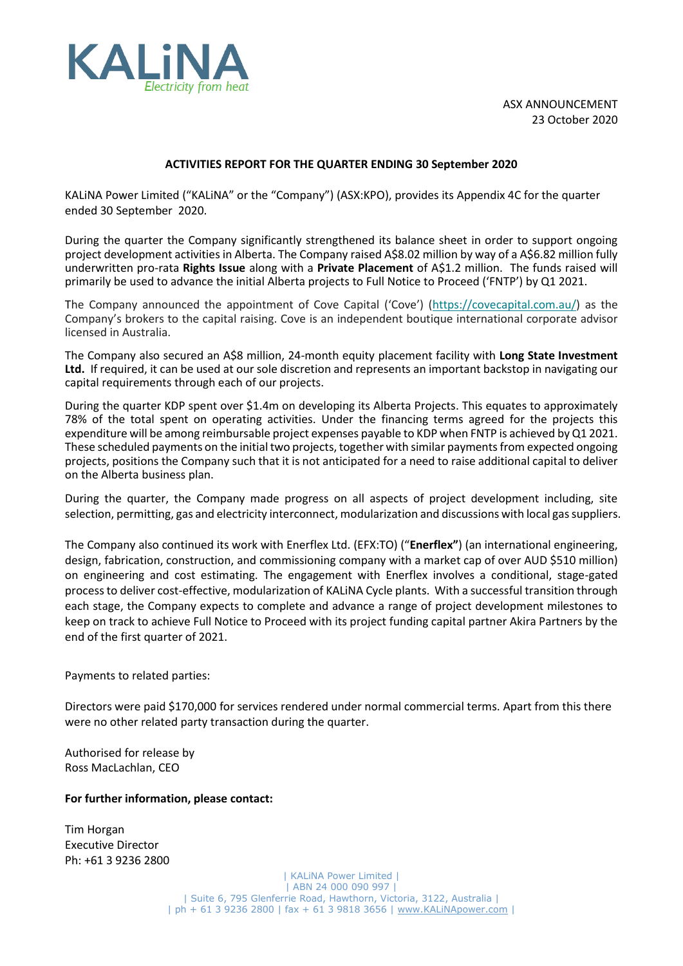

ASX ANNOUNCEMENT 23 October 2020

## **ACTIVITIES REPORT FOR THE QUARTER ENDING 30 September 2020**

KALiNA Power Limited ("KALiNA" or the "Company") (ASX:KPO), provides its Appendix 4C for the quarter ended 30 September 2020.

During the quarter the Company significantly strengthened its balance sheet in order to support ongoing project development activities in Alberta. The Company raised A\$8.02 million by way of a A\$6.82 million fully underwritten pro-rata **Rights Issue** along with a **Private Placement** of A\$1.2 million. The funds raised will primarily be used to advance the initial Alberta projects to Full Notice to Proceed ('FNTP') by Q1 2021.

The Company announced the appointment of Cove Capital ('Cove') ([https://covecapital.com.au/\)](https://kalinapower.us15.list-manage.com/track/click?u=0717313e8d931439521aae70a&id=6b7ad912d2&e=9891d782e5) as the Company's brokers to the capital raising. Cove is an independent boutique international corporate advisor licensed in Australia.

The Company also secured an A\$8 million, 24-month equity placement facility with **Long State Investment Ltd.** If required, it can be used at our sole discretion and represents an important backstop in navigating our capital requirements through each of our projects.

During the quarter KDP spent over \$1.4m on developing its Alberta Projects. This equates to approximately 78% of the total spent on operating activities. Under the financing terms agreed for the projects this expenditure will be among reimbursable project expenses payable to KDP when FNTP is achieved by Q1 2021. These scheduled payments on the initial two projects, together with similar payments from expected ongoing projects, positions the Company such that it is not anticipated for a need to raise additional capital to deliver on the Alberta business plan.

During the quarter, the Company made progress on all aspects of project development including, site selection, permitting, gas and electricity interconnect, modularization and discussions with local gas suppliers.

The Company also continued its work with Enerflex Ltd. (EFX:TO) ("**Enerflex"**) (an international engineering, design, fabrication, construction, and commissioning company with a market cap of over AUD \$510 million) on engineering and cost estimating. The engagement with Enerflex involves a conditional, stage-gated process to deliver cost-effective, modularization of KALiNA Cycle plants. With a successful transition through each stage, the Company expects to complete and advance a range of project development milestones to keep on track to achieve Full Notice to Proceed with its project funding capital partner Akira Partners by the end of the first quarter of 2021.

Payments to related parties:

Directors were paid \$170,000 for services rendered under normal commercial terms. Apart from this there were no other related party transaction during the quarter.

Authorised for release by Ross MacLachlan, CEO

### **For further information, please contact:**

Tim Horgan Executive Director Ph: +61 3 9236 2800

> | KALiNA Power Limited | | ABN 24 000 090 997 | | Suite 6, 795 Glenferrie Road, Hawthorn, Victoria, 3122, Australia | | ph + 61 3 9236 2800 | fax + 61 3 9818 3656 | [www.KALiNApower.com](http://www.kalinapower.com/) |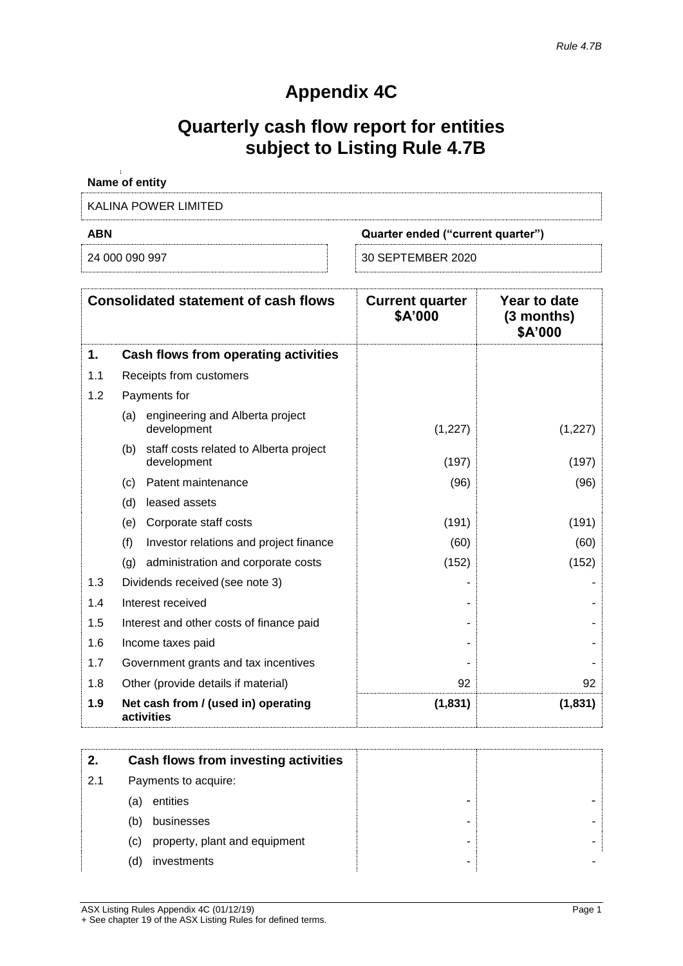# **Appendix 4C**

# **Quarterly cash flow report for entities subject to Listing Rule 4.7B**

| Name of entity       |                                   |
|----------------------|-----------------------------------|
| KALINA POWER LIMITED |                                   |
| <b>ABN</b>           |                                   |
|                      | Quarter ended ("current quarter") |

|     | <b>Consolidated statement of cash flows</b>                  | <b>Current quarter</b><br>\$A'000 | Year to date<br>$(3$ months)<br>\$A'000 |
|-----|--------------------------------------------------------------|-----------------------------------|-----------------------------------------|
| 1.  | Cash flows from operating activities                         |                                   |                                         |
| 1.1 | Receipts from customers                                      |                                   |                                         |
| 1.2 | Payments for                                                 |                                   |                                         |
|     | engineering and Alberta project<br>(a)<br>development        | (1,227)                           | (1,227)                                 |
|     | staff costs related to Alberta project<br>(b)<br>development | (197)                             | (197)                                   |
|     | (c) Patent maintenance                                       | (96)                              | (96)                                    |
|     | (d)<br>leased assets                                         |                                   |                                         |
|     | Corporate staff costs<br>(e)                                 | (191)                             | (191)                                   |
|     | (f)<br>Investor relations and project finance                | (60)                              | (60)                                    |
|     | (g)<br>administration and corporate costs                    | (152)                             | (152)                                   |
| 1.3 | Dividends received (see note 3)                              |                                   |                                         |
| 1.4 | Interest received                                            |                                   |                                         |
| 1.5 | Interest and other costs of finance paid                     |                                   |                                         |
| 1.6 | Income taxes paid                                            |                                   |                                         |
| 1.7 | Government grants and tax incentives                         |                                   |                                         |
| 1.8 | Other (provide details if material)                          | 92                                | 92                                      |
| 1.9 | Net cash from / (used in) operating<br>activities            | (1, 831)                          | (1, 831)                                |

|     | Cash flows from investing activities |  |
|-----|--------------------------------------|--|
| 2.1 | Payments to acquire:                 |  |
|     | entities<br>(a)                      |  |
|     | businesses<br>(b)                    |  |
|     | property, plant and equipment<br>(C) |  |
|     | investments<br>(d)                   |  |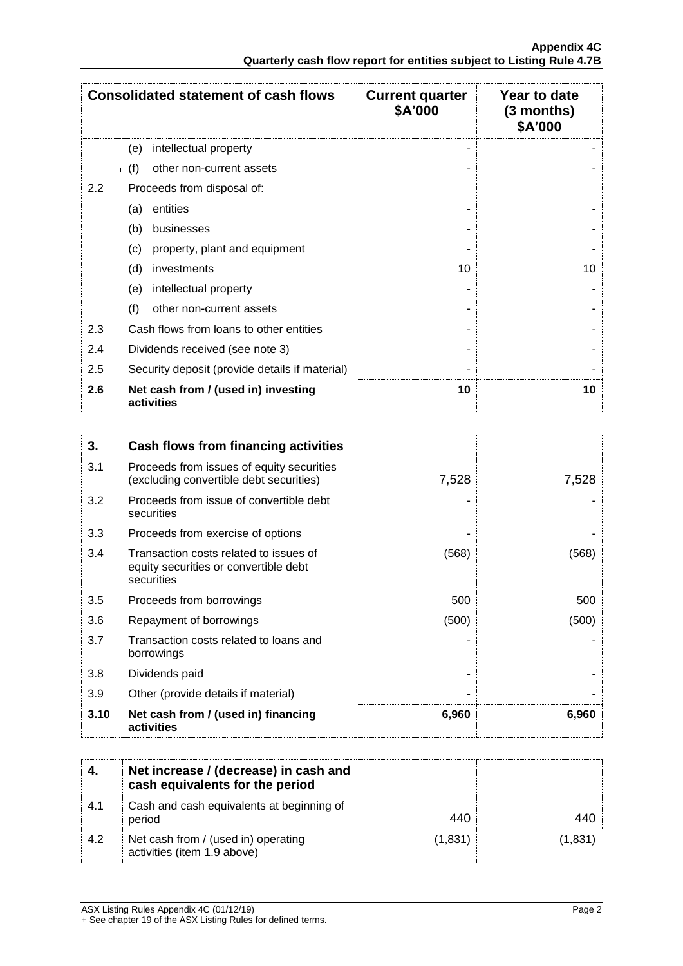|     | <b>Consolidated statement of cash flows</b>       | <b>Current quarter</b><br>\$A'000 | Year to date<br>(3 months)<br>\$A'000 |
|-----|---------------------------------------------------|-----------------------------------|---------------------------------------|
|     | intellectual property<br>(e)                      |                                   |                                       |
|     | (f)<br>other non-current assets                   |                                   |                                       |
| 2.2 | Proceeds from disposal of:                        |                                   |                                       |
|     | entities<br>(a)                                   |                                   |                                       |
|     | (b)<br>businesses                                 |                                   |                                       |
|     | property, plant and equipment<br>(c)              |                                   |                                       |
|     | (d)<br>investments                                | 10                                | 10                                    |
|     | intellectual property<br>(e)                      |                                   |                                       |
|     | (f)<br>other non-current assets                   |                                   |                                       |
| 2.3 | Cash flows from loans to other entities           |                                   |                                       |
| 2.4 | Dividends received (see note 3)                   |                                   |                                       |
| 2.5 | Security deposit (provide details if material)    |                                   |                                       |
| 2.6 | Net cash from / (used in) investing<br>activities | 10                                | 10                                    |

| 3.   | Cash flows from financing activities                                                          |       |       |
|------|-----------------------------------------------------------------------------------------------|-------|-------|
| 3.1  | Proceeds from issues of equity securities<br>(excluding convertible debt securities)          | 7,528 | 7,528 |
| 3.2  | Proceeds from issue of convertible debt<br>securities                                         |       |       |
| 3.3  | Proceeds from exercise of options                                                             |       |       |
| 3.4  | Transaction costs related to issues of<br>equity securities or convertible debt<br>securities | (568) | (568) |
| 3.5  | Proceeds from borrowings                                                                      | 500   | 500   |
| 3.6  | Repayment of borrowings                                                                       | (500) | (500) |
| 3.7  | Transaction costs related to loans and<br>borrowings                                          |       |       |
| 3.8  | Dividends paid                                                                                |       |       |
| 3.9  | Other (provide details if material)                                                           |       |       |
| 3.10 | Net cash from / (used in) financing<br>activities                                             | 6,960 | 6,960 |

|     | Net increase / (decrease) in cash and<br>cash equivalents for the period |         |         |
|-----|--------------------------------------------------------------------------|---------|---------|
| 4.1 | Cash and cash equivalents at beginning of<br>period                      | 440     |         |
| 4.2 | Net cash from / (used in) operating<br>activities (item 1.9 above)       | (1,831) | (1,831) |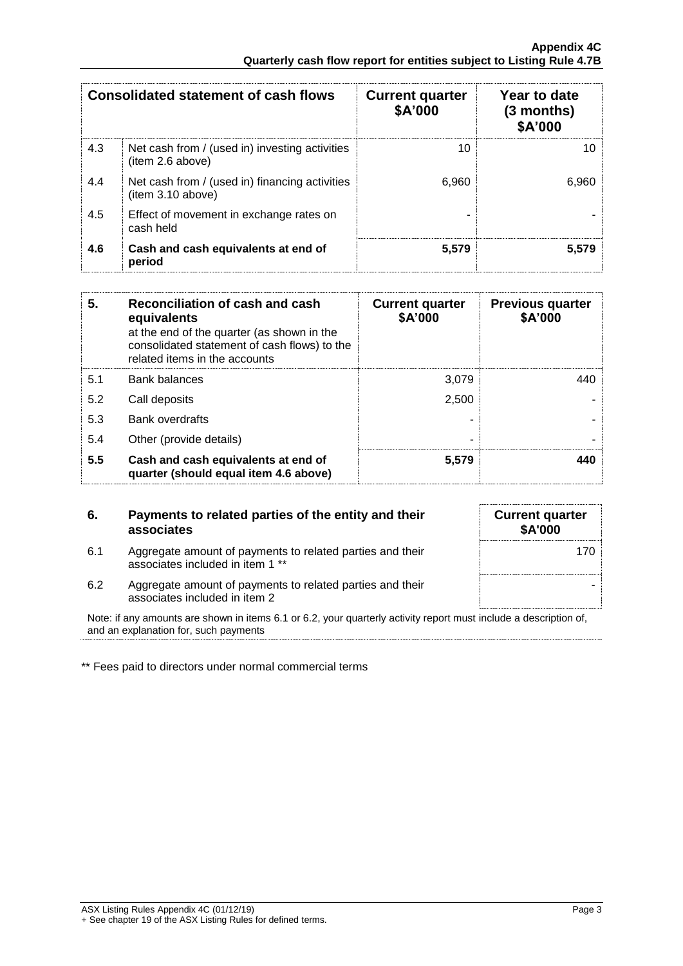|     | <b>Consolidated statement of cash flows</b>                        | <b>Current quarter</b><br>\$A'000 | Year to date<br>$(3$ months)<br>\$A'000 |
|-----|--------------------------------------------------------------------|-----------------------------------|-----------------------------------------|
| 4.3 | Net cash from / (used in) investing activities<br>(item 2.6 above) | 10                                | 10                                      |
| 4.4 | Net cash from / (used in) financing activities<br>item 3.10 above) | 6.960                             | 6.960                                   |
| 4.5 | Effect of movement in exchange rates on<br>cash held               |                                   |                                         |
| 4.6 | Cash and cash equivalents at end of<br>period                      | 5.579                             | 5,579                                   |

| 5.  | Reconciliation of cash and cash<br>equivalents<br>at the end of the quarter (as shown in the<br>consolidated statement of cash flows) to the<br>related items in the accounts | <b>Current quarter</b><br>\$A'000 | <b>Previous quarter</b><br>\$A'000 |
|-----|-------------------------------------------------------------------------------------------------------------------------------------------------------------------------------|-----------------------------------|------------------------------------|
| 5.1 | <b>Bank balances</b>                                                                                                                                                          | 3.079                             | 440                                |
| 5.2 | Call deposits                                                                                                                                                                 | 2.500                             |                                    |
| 5.3 | <b>Bank overdrafts</b>                                                                                                                                                        |                                   |                                    |
| 5.4 | Other (provide details)                                                                                                                                                       |                                   |                                    |
| 5.5 | Cash and cash equivalents at end of<br>quarter (should equal item 4.6 above)                                                                                                  | 5,579                             | 440                                |

| 6.  | Payments to related parties of the entity and their<br>associates                             | <b>Current quarter</b><br><b>\$A'000</b> |
|-----|-----------------------------------------------------------------------------------------------|------------------------------------------|
| 6.1 | Aggregate amount of payments to related parties and their<br>associates included in item 1 ** |                                          |
| 6.2 | Aggregate amount of payments to related parties and their<br>associates included in item 2    |                                          |

Note: if any amounts are shown in items 6.1 or 6.2, your quarterly activity report must include a description of, and an explanation for, such payments

\*\* Fees paid to directors under normal commercial terms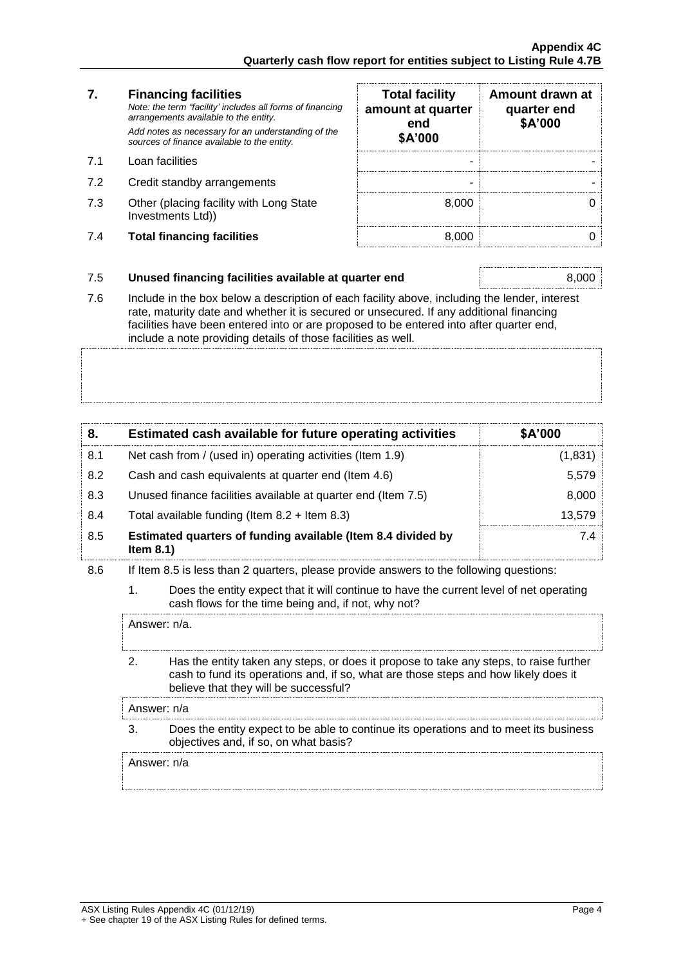# **7. Financing facilities**

- 
- 7.2 Credit standby arrangements
- 7.3 Other (placing facility with Long State Investments Ltd))
- 7.4 **Total financing facilities** 8,000 0

| 7.  | <b>Financing facilities</b><br>Note: the term "facility' includes all forms of financing<br>arrangements available to the entity.<br>Add notes as necessary for an understanding of the<br>sources of finance available to the entity. | <b>Total facility</b><br>amount at quarter<br>end<br>\$A'000 | Amount drawn at<br>quarter end<br>\$A'000 |
|-----|----------------------------------------------------------------------------------------------------------------------------------------------------------------------------------------------------------------------------------------|--------------------------------------------------------------|-------------------------------------------|
| 7.1 | Loan facilities                                                                                                                                                                                                                        |                                                              |                                           |
| 7.2 | Credit standby arrangements                                                                                                                                                                                                            |                                                              |                                           |
| 7.3 | Other (placing facility with Long State<br>Investments Ltd))                                                                                                                                                                           | 8.000                                                        |                                           |
| 7.4 | <b>Total financing facilities</b>                                                                                                                                                                                                      | 8.000                                                        |                                           |

### 7.5 **Unused financing facilities available at quarter end** 8,000

7.6 Include in the box below a description of each facility above, including the lender, interest rate, maturity date and whether it is secured or unsecured. If any additional financing facilities have been entered into or are proposed to be entered into after quarter end, include a note providing details of those facilities as well.

| 8.  | Estimated cash available for future operating activities                     | \$A'000 |
|-----|------------------------------------------------------------------------------|---------|
| 8.1 | Net cash from / (used in) operating activities (Item 1.9)                    | (1,831) |
| 8.2 | Cash and cash equivalents at quarter end (Item 4.6)                          | 5,579   |
| 8.3 | Unused finance facilities available at quarter end (Item 7.5)                | 8,000   |
| 8.4 | Total available funding (Item $8.2 +$ Item $8.3$ )                           | 13.579  |
| 8.5 | Estimated quarters of funding available (Item 8.4 divided by<br>Item $8.1$ ) | 7.4     |

### 8.6 If Item 8.5 is less than 2 quarters, please provide answers to the following questions:

1. Does the entity expect that it will continue to have the current level of net operating cash flows for the time being and, if not, why not?

Answer: n/a.

2. Has the entity taken any steps, or does it propose to take any steps, to raise further cash to fund its operations and, if so, what are those steps and how likely does it believe that they will be successful?

Answer: n/a

3. Does the entity expect to be able to continue its operations and to meet its business objectives and, if so, on what basis?

Answer: n/a